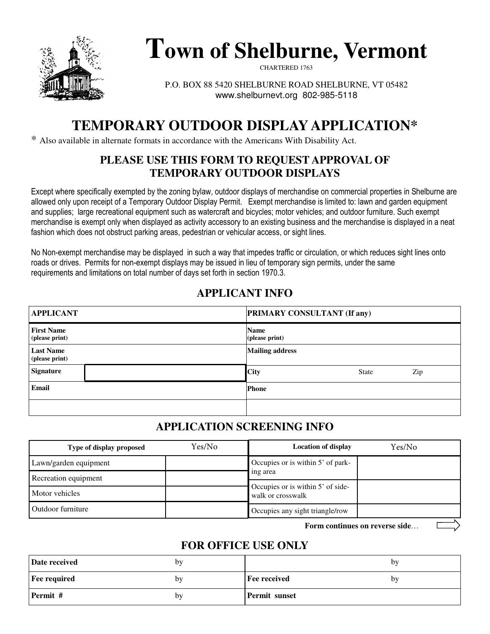

# **Town of Shelburne, Vermont**

CHARTERED 1763

P.O. BOX 88 5420 SHELBURNE ROAD SHELBURNE, VT 05482 www.shelburnevt.org 802-985-5118

## **TEMPORARY OUTDOOR DISPLAY APPLICATION\***

\* Also available in alternate formats in accordance with the Americans With Disability Act.

#### **PLEASE USE THIS FORM TO REQUEST APPROVAL OF TEMPORARY OUTDOOR DISPLAYS**

Except where specifically exempted by the zoning bylaw, outdoor displays of merchandise on commercial properties in Shelburne are allowed only upon receipt of a Temporary Outdoor Display Permit. Exempt merchandise is limited to: lawn and garden equipment and supplies; large recreational equipment such as watercraft and bicycles; motor vehicles; and outdoor furniture. Such exempt merchandise is exempt only when displayed as activity accessory to an existing business and the merchandise is displayed in a neat fashion which does not obstruct parking areas, pedestrian or vehicular access, or sight lines.

No Non-exempt merchandise may be displayed in such a way that impedes traffic or circulation, or which reduces sight lines onto roads or drives. Permits for non-exempt displays may be issued in lieu of temporary sign permits, under the same requirements and limitations on total number of days set forth in section 1970.3.

## **APPLICANT INFO**

| <b>APPLICANT</b>                    |  | <b>PRIMARY CONSULTANT (If any)</b> |              |     |
|-------------------------------------|--|------------------------------------|--------------|-----|
| <b>First Name</b><br>(please print) |  | <b>Name</b><br>(please print)      |              |     |
| <b>Last Name</b><br>(please print)  |  | <b>Mailing address</b>             |              |     |
| <b>Signature</b>                    |  | <b>City</b>                        | <b>State</b> | Zip |
| Email                               |  | <b>Phone</b>                       |              |     |
|                                     |  |                                    |              |     |

## **APPLICATION SCREENING INFO**

| Type of display proposed | Yes/No | <b>Location of display</b>                             | Yes/No |
|--------------------------|--------|--------------------------------------------------------|--------|
| Lawn/garden equipment    |        | Occupies or is within 5' of park-                      |        |
| Recreation equipment     |        | ing area                                               |        |
| Motor vehicles           |        | Occupies or is within 5' of side-<br>walk or crosswalk |        |
| Outdoor furniture        |        | Occupies any sight triangle/row                        |        |

**Form continues on reverse side**…

## **FOR OFFICE USE ONLY**

| Date received       | bv |                      | by |
|---------------------|----|----------------------|----|
| <b>Fee required</b> | bv | <b>Fee received</b>  | by |
| Permit #            | by | <b>Permit sunset</b> |    |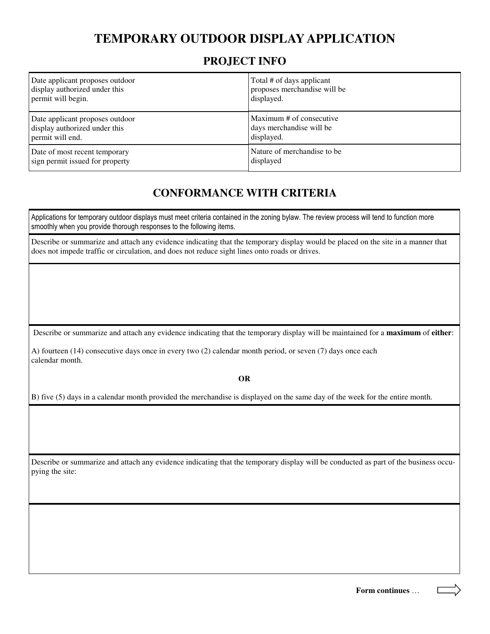## **TEMPORARY OUTDOOR DISPLAY APPLICATION**

#### **PROJECT INFO**

| Date applicant proposes outdoor | Total # of days applicant    |
|---------------------------------|------------------------------|
| display authorized under this   | proposes merchandise will be |
| permit will begin.              | displayed.                   |
| Date applicant proposes outdoor | Maximum # of consecutive     |
| display authorized under this   | days merchandise will be     |
| permit will end.                | displayed.                   |
| Date of most recent temporary   | Nature of merchandise to be. |
| sign permit issued for property | displayed                    |

## **CONFORMANCE WITH CRITERIA**

Applications for temporary outdoor displays must meet criteria contained in the zoning bylaw. The review process will tend to function more smoothly when you provide thorough responses to the following items.

Describe or summarize and attach any evidence indicating that the temporary display would be placed on the site in a manner that does not impede traffic or circulation, and does not reduce sight lines onto roads or drives.

Describe or summarize and attach any evidence indicating that the temporary display will be maintained for a **maximum** of **either**:

A) fourteen (14) consecutive days once in every two (2) calendar month period, or seven (7) days once each calendar month.

**OR** 

B) five (5) days in a calendar month provided the merchandise is displayed on the same day of the week for the entire month.

Describe or summarize and attach any evidence indicating that the temporary display will be conducted as part of the business occupying the site:

**Form continues** …